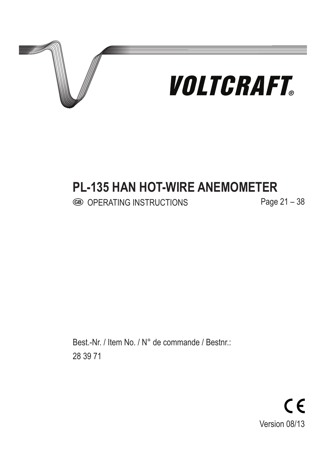

## **PL-135 HAN HOT-WIRE ANEMOMETER**

OPERATING INSTRUCTIONS Page 21 – 38

Best.-Nr. / Item No. / N° de commande / Bestnr.: 28 39 71

> $C \in$ Version 08/13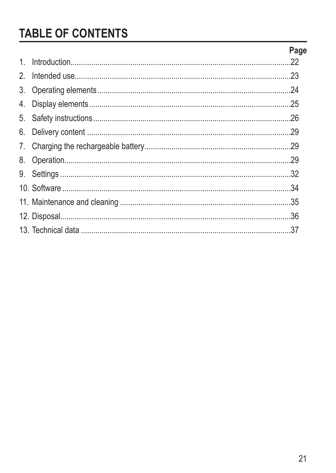# **TABLE OF CONTENTS**

|               | Page |
|---------------|------|
| 1             |      |
| $\mathcal{P}$ |      |
| 3.            |      |
|               |      |
|               |      |
|               |      |
|               |      |
|               |      |
|               |      |
|               |      |
|               |      |
|               |      |
|               |      |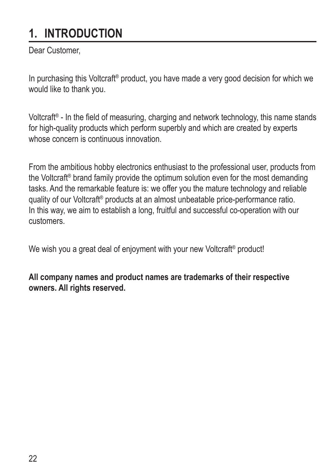# **1. INTRODUCTION**

Dear Customer,

In purchasing this Voltcraft<sup>®</sup> product, you have made a very good decision for which we would like to thank you.

Voltcraft® - In the field of measuring, charging and network technology, this name stands for high-quality products which perform superbly and which are created by experts whose concern is continuous innovation.

From the ambitious hobby electronics enthusiast to the professional user, products from the Voltcraft® brand family provide the optimum solution even for the most demanding tasks. And the remarkable feature is: we offer you the mature technology and reliable quality of our Voltcraft® products at an almost unbeatable price-performance ratio. In this way, we aim to establish a long, fruitful and successful co-operation with our customers.

We wish you a great deal of enjoyment with your new Voltcraft<sup>®</sup> product!

**All company names and product names are trademarks of their respective owners. All rights reserved.**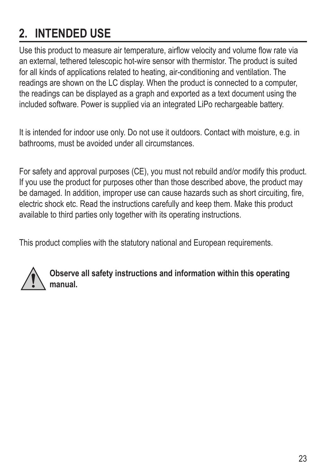# **2. INTENDED USE**

Use this product to measure air temperature, airflow velocity and volume flow rate via an external, tethered telescopic hot-wire sensor with thermistor. The product is suited for all kinds of applications related to heating, air-conditioning and ventilation. The readings are shown on the LC display. When the product is connected to a computer, the readings can be displayed as a graph and exported as a text document using the included software. Power is supplied via an integrated LiPo rechargeable battery.

It is intended for indoor use only. Do not use it outdoors. Contact with moisture, e.g. in bathrooms, must be avoided under all circumstances.

For safety and approval purposes (CE), you must not rebuild and/or modify this product. If you use the product for purposes other than those described above, the product may be damaged. In addition, improper use can cause hazards such as short circuiting, fire, electric shock etc. Read the instructions carefully and keep them. Make this product available to third parties only together with its operating instructions.

This product complies with the statutory national and European requirements.



**Observe all safety instructions and information within this operating manual.**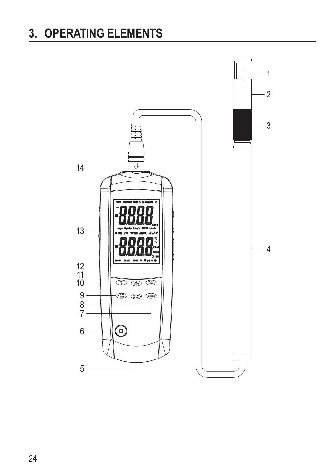# **3. OPERATING ELEMENTS**

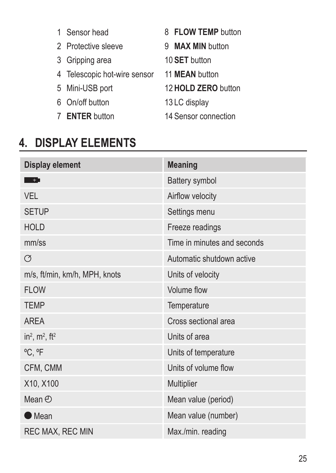- 1 Sensor head
- 2 Protective sleeve 9 **MAX MIN** button
- 3 Gripping area
- 4 Telescopic hot-wire sensor 11 **MEAN** button
- 5 Mini-USB port
- 6 On/off button
- 7 **ENTER** button
- 8 **FLOW TEMP** button
	-
- 10 **SET** button
	-
	- 12 **HOLD ZERO** button
	- 13 LC display
- 14 Sensor connection

## **4. DISPLAY ELEMENTS**

| Display element                           | <b>Meaning</b>              |  |
|-------------------------------------------|-----------------------------|--|
| - + 1                                     | Battery symbol              |  |
| <b>VFI</b>                                | Airflow velocity            |  |
| <b>SETUP</b>                              | Settings menu               |  |
| <b>HOLD</b>                               | Freeze readings             |  |
| mm/ss                                     | Time in minutes and seconds |  |
| Ø                                         | Automatic shutdown active   |  |
| m/s, ft/min, km/h, MPH, knots             | Units of velocity           |  |
| <b>FLOW</b>                               | Volume flow                 |  |
| <b>TEMP</b>                               | Temperature                 |  |
| <b>AREA</b>                               | Cross sectional area        |  |
| in <sup>2</sup> , $m^2$ , ft <sup>2</sup> | Units of area               |  |
| °C, °F                                    | Units of temperature        |  |
| CFM, CMM                                  | Units of volume flow        |  |
| X10, X100                                 | Multiplier                  |  |
| Mean $\odot$                              | Mean value (period)         |  |
| Mean                                      | Mean value (number)         |  |
| <b>REC MAX, REC MIN</b>                   | Max./min. reading           |  |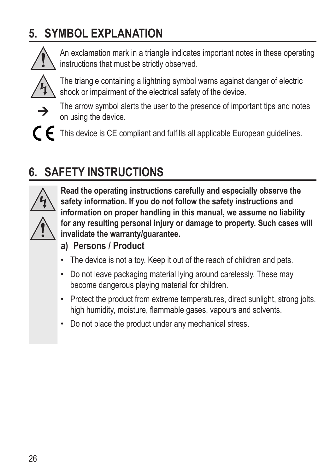# **5. SYMBOL EXPLANATION**



An exclamation mark in a triangle indicates important notes in these operating instructions that must be strictly observed.



The triangle containing a lightning symbol warns against danger of electric shock or impairment of the electrical safety of the device.



The arrow symbol alerts the user to the presence of important tips and notes on using the device.

This device is CE compliant and fulfills all applicable European guidelines.

# **6. SAFETY INSTRUCTIONS**



**Read the operating instructions carefully and especially observe the safety information. If you do not follow the safety instructions and information on proper handling in this manual, we assume no liability for any resulting personal injury or damage to property. Such cases will invalidate the warranty/guarantee.**

- **a) Persons / Product**
- The device is not a toy. Keep it out of the reach of children and pets.
- Do not leave packaging material lying around carelessly. These may become dangerous playing material for children.
- Protect the product from extreme temperatures, direct sunlight, strong jolts, high humidity, moisture, flammable gases, vapours and solvents.
- Do not place the product under any mechanical stress.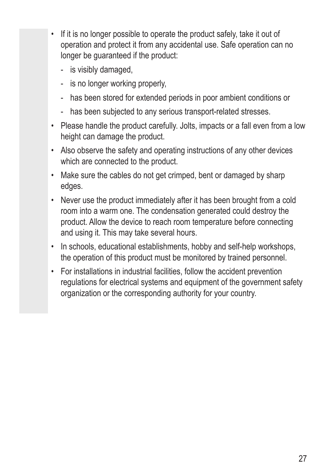- If it is no longer possible to operate the product safely, take it out of operation and protect it from any accidental use. Safe operation can no longer be guaranteed if the product:
	- is visibly damaged,
	- is no longer working properly,
	- has been stored for extended periods in poor ambient conditions or
	- has been subjected to any serious transport-related stresses.
- Please handle the product carefully. Jolts, impacts or a fall even from a low height can damage the product.
- Also observe the safety and operating instructions of any other devices which are connected to the product.
- Make sure the cables do not get crimped, bent or damaged by sharp edges.
- Never use the product immediately after it has been brought from a cold room into a warm one. The condensation generated could destroy the product. Allow the device to reach room temperature before connecting and using it. This may take several hours.
- In schools, educational establishments, hobby and self-help workshops, the operation of this product must be monitored by trained personnel.
- For installations in industrial facilities, follow the accident prevention regulations for electrical systems and equipment of the government safety organization or the corresponding authority for your country.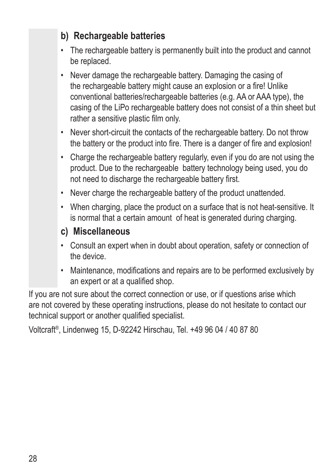- **b) Rechargeable batteries**
- The rechargeable battery is permanently built into the product and cannot be replaced.
- Never damage the rechargeable battery. Damaging the casing of the rechargeable battery might cause an explosion or a fire! Unlike conventional batteries/rechargeable batteries (e.g. AA or AAA type), the casing of the LiPo rechargeable battery does not consist of a thin sheet but rather a sensitive plastic film only.
- Never short-circuit the contacts of the rechargeable battery. Do not throw the battery or the product into fire. There is a danger of fire and explosion!
- Charge the rechargeable battery regularly, even if you do are not using the product. Due to the rechargeable battery technology being used, you do not need to discharge the rechargeable battery first.
- Never charge the rechargeable battery of the product unattended.
- When charging, place the product on a surface that is not heat-sensitive. It is normal that a certain amount of heat is generated during charging.

#### **c) Miscellaneous**

- Consult an expert when in doubt about operation, safety or connection of the device.
- Maintenance, modifications and repairs are to be performed exclusively by an expert or at a qualified shop.

If you are not sure about the correct connection or use, or if questions arise which are not covered by these operating instructions, please do not hesitate to contact our technical support or another qualified specialist.

Voltcraft®, Lindenweg 15, D-92242 Hirschau, Tel. +49 96 04 / 40 87 80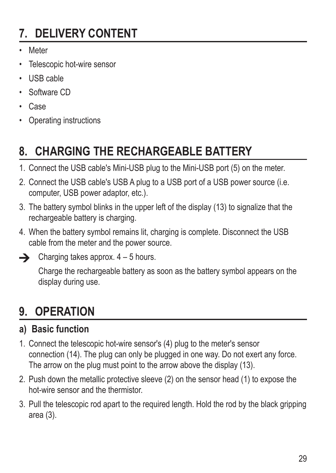# **7. DELIVERY CONTENT**

- Meter
- Telescopic hot-wire sensor
- USB cable
- Software CD
- Case
- Operating instructions

# **8. CHARGING THE RECHARGEABLE BATTERY**

- 1. Connect the USB cable's Mini-USB plug to the Mini-USB port (5) on the meter.
- 2. Connect the USB cable's USB A plug to a USB port of a USB power source (i.e. computer, USB power adaptor, etc.).
- 3. The battery symbol blinks in the upper left of the display (13) to signalize that the rechargeable battery is charging.
- 4. When the battery symbol remains lit, charging is complete. Disconnect the USB cable from the meter and the power source.



Charge the rechargeable battery as soon as the battery symbol appears on the display during use.

## **9. OPERATION**

### **a) Basic function**

- 1. Connect the telescopic hot-wire sensor's (4) plug to the meter's sensor connection (14). The plug can only be plugged in one way. Do not exert any force. The arrow on the plug must point to the arrow above the display (13).
- 2. Push down the metallic protective sleeve (2) on the sensor head (1) to expose the hot-wire sensor and the thermistor.
- 3. Pull the telescopic rod apart to the required length. Hold the rod by the black gripping area (3).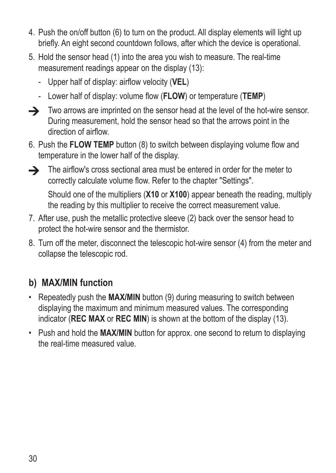- 4. Push the on/off button (6) to turn on the product. All display elements will light up briefly. An eight second countdown follows, after which the device is operational.
- 5. Hold the sensor head (1) into the area you wish to measure. The real-time measurement readings appear on the display (13):
	- Upper half of display: airflow velocity (**VEL**)
	- Lower half of display: volume flow (**FLOW**) or temperature (**TEMP**)
- $\rightarrow$  Two arrows are imprinted on the sensor head at the level of the hot-wire sensor. During measurement, hold the sensor head so that the arrows point in the direction of airflow.
- 6. Push the **FLOW TEMP** button (8) to switch between displaying volume flow and temperature in the lower half of the display.
- 

 $\rightarrow$  The airflow's cross sectional area must be entered in order for the meter to correctly calculate volume flow. Refer to the chapter "Settings".

Should one of the multipliers (**X10** or **X100**) appear beneath the reading, multiply the reading by this multiplier to receive the correct measurement value.

- 7. After use, push the metallic protective sleeve (2) back over the sensor head to protect the hot-wire sensor and the thermistor.
- 8. Turn off the meter, disconnect the telescopic hot-wire sensor (4) from the meter and collapse the telescopic rod.

### **b) MAX/MIN function**

- Repeatedly push the **MAX/MIN** button (9) during measuring to switch between displaying the maximum and minimum measured values. The corresponding indicator (**REC MAX** or **REC MIN**) is shown at the bottom of the display (13).
- Push and hold the **MAX/MIN** button for approx. one second to return to displaying the real-time measured value.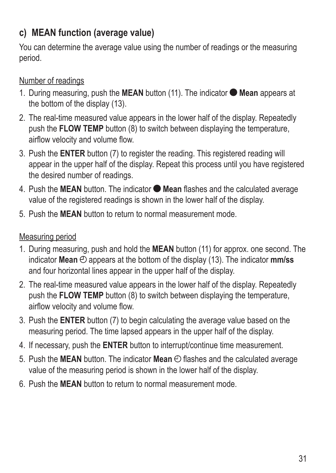### **c) MEAN function (average value)**

You can determine the average value using the number of readings or the measuring period.

#### Number of readings

- 1. During measuring, push the **MEAN** button (11). The indicator  $\bullet$  Mean appears at the bottom of the display (13).
- 2. The real-time measured value appears in the lower half of the display. Repeatedly push the **FLOW TEMP** button (8) to switch between displaying the temperature, airflow velocity and volume flow.
- 3. Push the **ENTER** button (7) to register the reading. This registered reading will appear in the upper half of the display. Repeat this process until you have registered the desired number of readings.
- 4. Push the **MEAN** button. The indicator **Mean** flashes and the calculated average value of the registered readings is shown in the lower half of the display.
- 5. Push the **MEAN** button to return to normal measurement mode.

#### Measuring period

- 1. During measuring, push and hold the **MEAN** button (11) for approx. one second. The indicator **Mean**  $\oplus$  appears at the bottom of the display (13). The indicator **mm/ss** and four horizontal lines appear in the upper half of the display.
- 2. The real-time measured value appears in the lower half of the display. Repeatedly push the **FLOW TEMP** button (8) to switch between displaying the temperature, airflow velocity and volume flow.
- 3. Push the **ENTER** button (7) to begin calculating the average value based on the measuring period. The time lapsed appears in the upper half of the display.
- 4. If necessary, push the **ENTER** button to interrupt/continue time measurement.
- 5. Push the MEAN button. The indicator Mean  $\Theta$  flashes and the calculated average value of the measuring period is shown in the lower half of the display.
- 6. Push the **MEAN** button to return to normal measurement mode.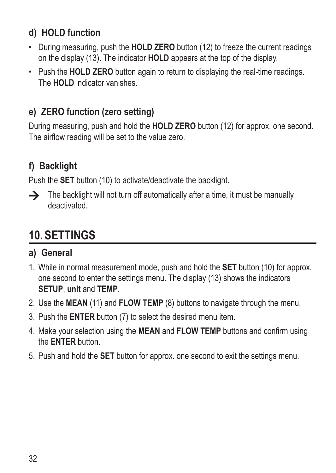### **d) HOLD function**

- During measuring, push the **HOLD ZERO** button (12) to freeze the current readings on the display (13). The indicator **HOLD** appears at the top of the display.
- Push the **HOLD ZERO** button again to return to displaying the real-time readings. The **HOLD** indicator vanishes.

### **e) ZERO function (zero setting)**

During measuring, push and hold the **HOLD ZERO** button (12) for approx. one second. The airflow reading will be set to the value zero.

## **f) Backlight**

Push the **SET** button (10) to activate/deactivate the backlight.



 $\rightarrow$  The backlight will not turn off automatically after a time, it must be manually deactivated.

# **10. SETTINGS**

### **a) General**

- 1. While in normal measurement mode, push and hold the **SET** button (10) for approx. one second to enter the settings menu. The display (13) shows the indicators **SETUP**, **unit** and **TEMP**.
- 2. Use the **MEAN** (11) and **FLOW TEMP** (8) buttons to navigate through the menu.
- 3. Push the **ENTER** button (7) to select the desired menu item.
- 4. Make your selection using the **MEAN** and **FLOW TEMP** buttons and confirm using the **ENTER** button.
- 5. Push and hold the **SET** button for approx. one second to exit the settings menu.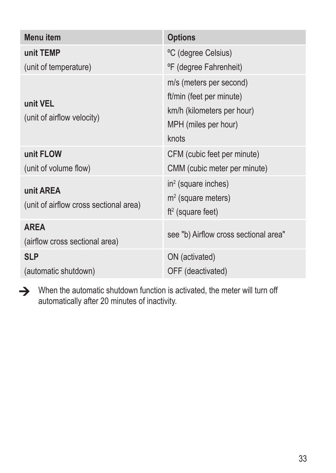| Menu item                                           | <b>Options</b>                                                                                                     |
|-----------------------------------------------------|--------------------------------------------------------------------------------------------------------------------|
| unit TEMP                                           | °C (degree Celsius)                                                                                                |
| (unit of temperature)                               | °F (degree Fahrenheit)                                                                                             |
| unit VEL<br>(unit of airflow velocity)              | m/s (meters per second)<br>ft/min (feet per minute)<br>km/h (kilometers per hour)<br>MPH (miles per hour)<br>knots |
| unit FLOW                                           | CFM (cubic feet per minute)                                                                                        |
| (unit of volume flow)                               | CMM (cubic meter per minute)                                                                                       |
| unit AREA<br>(unit of airflow cross sectional area) | $in2$ (square inches)<br>$m2$ (square meters)<br>$ft2$ (square feet)                                               |
| <b>AREA</b><br>(airflow cross sectional area)       | see "b) Airflow cross sectional area"                                                                              |
| <b>SLP</b>                                          | ON (activated)                                                                                                     |
| (automatic shutdown)                                | OFF (deactivated)                                                                                                  |

When the automatic shutdown function is activated, the meter will turn off automatically after 20 minutes of inactivity.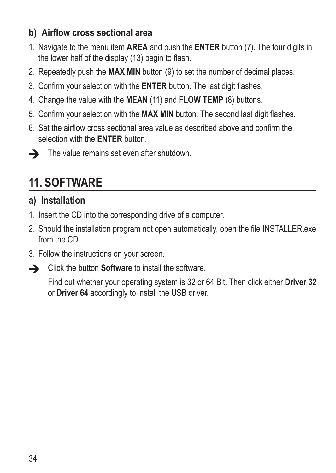### **b) Airflow cross sectional area**

- 1. Navigate to the menu item **AREA** and push the **ENTER** button (7). The four digits in the lower half of the display (13) begin to flash.
- 2. Repeatedly push the **MAX MIN** button (9) to set the number of decimal places.
- 3. Confirm your selection with the **ENTER** button. The last digit flashes.
- 4. Change the value with the **MEAN** (11) and **FLOW TEMP** (8) buttons.
- 5. Confirm your selection with the **MAX MIN** button. The second last digit flashes.
- 6. Set the airflow cross sectional area value as described above and confirm the selection with the **ENTER** button.



 $\rightarrow$  The value remains set even after shutdown.

# **11. SOFTWARE**

### **a) Installation**

- 1. Insert the CD into the corresponding drive of a computer.
- 2. Should the installation program not open automatically, open the file INSTALLER.exe from the CD.
- 3. Follow the instructions on your screen.



 $\rightarrow$  Click the button **Software** to install the software.

Find out whether your operating system is 32 or 64 Bit. Then click either **Driver 32** or **Driver 64** accordingly to install the USB driver.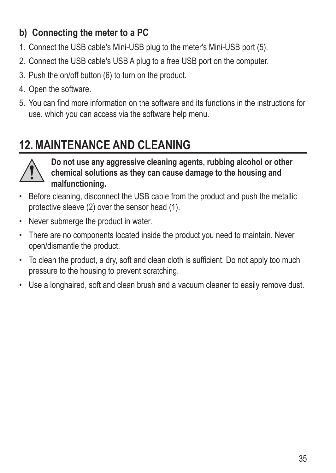### **b) Connecting the meter to a PC**

- 1. Connect the USB cable's Mini-USB plug to the meter's Mini-USB port (5).
- 2. Connect the USB cable's USB A plug to a free USB port on the computer.
- 3. Push the on/off button (6) to turn on the product.
- 4. Open the software.
- 5. You can find more information on the software and its functions in the instructions for use, which you can access via the software help menu.

# **12.MAINTENANCE AND CLEANING**



**Do not use any aggressive cleaning agents, rubbing alcohol or other chemical solutions as they can cause damage to the housing and malfunctioning.**

- Before cleaning, disconnect the USB cable from the product and push the metallic protective sleeve (2) over the sensor head (1).
- Never submerge the product in water.
- There are no components located inside the product you need to maintain. Never open/dismantle the product.
- To clean the product, a dry, soft and clean cloth is sufficient. Do not apply too much pressure to the housing to prevent scratching.
- Use a longhaired, soft and clean brush and a vacuum cleaner to easily remove dust.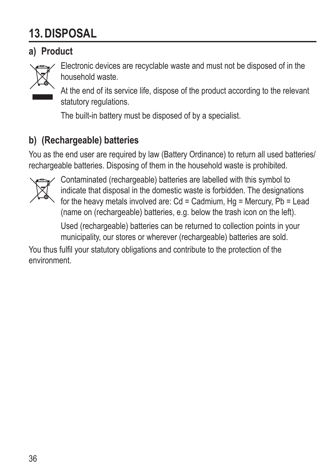# **13. DISPOSAL**

### **a) Product**



Electronic devices are recyclable waste and must not be disposed of in the household waste.

At the end of its service life, dispose of the product according to the relevant statutory regulations.

The built-in battery must be disposed of by a specialist.

### **b) (Rechargeable) batteries**

You as the end user are required by law (Battery Ordinance) to return all used batteries/ rechargeable batteries. Disposing of them in the household waste is prohibited.



Contaminated (rechargeable) batteries are labelled with this symbol to indicate that disposal in the domestic waste is forbidden. The designations for the heavy metals involved are: Cd = Cadmium, Hg = Mercury, Pb = Lead (name on (rechargeable) batteries, e.g. below the trash icon on the left).

Used (rechargeable) batteries can be returned to collection points in your municipality, our stores or wherever (rechargeable) batteries are sold.

You thus fulfil your statutory obligations and contribute to the protection of the environment.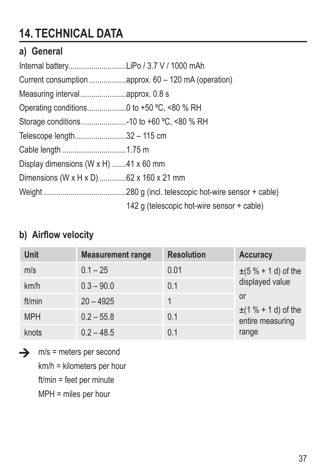# **14. TECHNICAL DATA**

### **a) General**

| Internal batteryLiPo / 3.7 V / 1000 mAh             |                                            |
|-----------------------------------------------------|--------------------------------------------|
|                                                     |                                            |
|                                                     |                                            |
|                                                     |                                            |
| Storage conditions10 to +60 °C, <80 % RH            |                                            |
| Telescope length32 - 115 cm                         |                                            |
| Cable length 1.75 m                                 |                                            |
| Display dimensions (W $\times$ H) 41 $\times$ 60 mm |                                            |
| Dimensions (W x H x D) 62 x 160 x 21 mm             |                                            |
|                                                     |                                            |
|                                                     | 142 g (telescopic hot-wire sensor + cable) |

### **b) Airflow velocity**

| <b>Unit</b> | <b>Measurement range</b> | <b>Resolution</b> | Accuracy                                     |
|-------------|--------------------------|-------------------|----------------------------------------------|
| m/s         | $0.1 - 25$               | 0.01              | $\pm (5 \% + 1 d)$ of the                    |
| km/h        | $0.3 - 90.0$             | 0.1               | displayed value                              |
| ft/min      | $20 - 4925$              |                   | or                                           |
| <b>MPH</b>  | $02 - 558$               | 0.1               | $\pm$ (1 % + 1 d) of the<br>entire measuring |
| knots       | $02 - 485$               | 0.1               | range                                        |

 $\rightarrow$  m/s = meters per second km/h = kilometers per hour ft/min = feet per minute

MPH = miles per hour